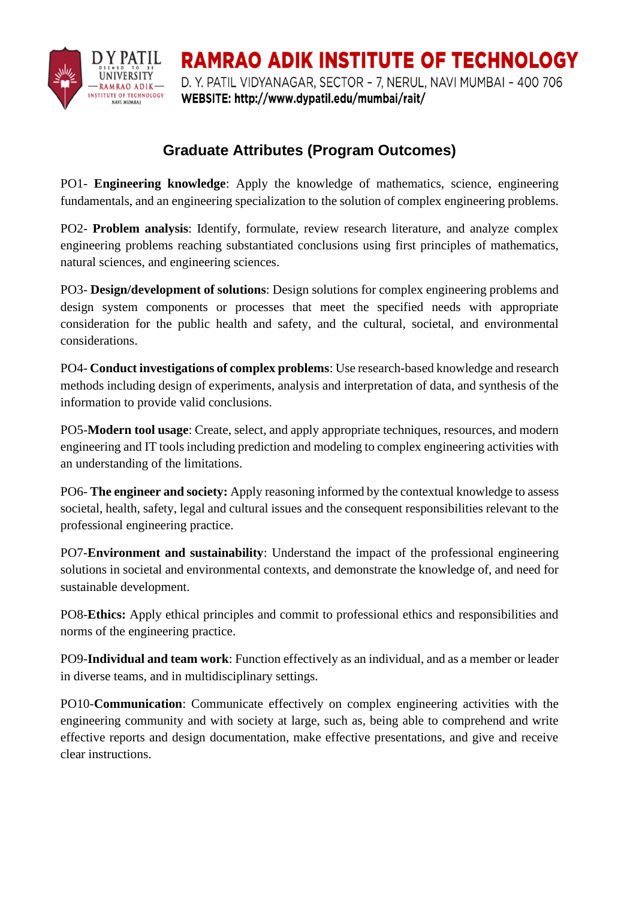

**RAMRAO ADIK INSTITUTE OF TECHNOLOGY** D. Y. PATIL VIDYANAGAR, SECTOR - 7, NERUL, NAVI MUMBAI - 400 706 WEBSITE: http://www.dypatil.edu/mumbai/rait/

## **Graduate Attributes (Program Outcomes)**

PO1- **Engineering knowledge**: Apply the knowledge of mathematics, science, engineering fundamentals, and an engineering specialization to the solution of complex engineering problems.

PO2- **Problem analysis**: Identify, formulate, review research literature, and analyze complex engineering problems reaching substantiated conclusions using first principles of mathematics, natural sciences, and engineering sciences.

PO3- **Design/development of solutions**: Design solutions for complex engineering problems and design system components or processes that meet the specified needs with appropriate consideration for the public health and safety, and the cultural, societal, and environmental considerations.

PO4- **Conduct investigations of complex problems**: Use research-based knowledge and research methods including design of experiments, analysis and interpretation of data, and synthesis of the information to provide valid conclusions.

PO5-**Modern tool usage**: Create, select, and apply appropriate techniques, resources, and modern engineering and IT tools including prediction and modeling to complex engineering activities with an understanding of the limitations.

PO6- **The engineer and society:** Apply reasoning informed by the contextual knowledge to assess societal, health, safety, legal and cultural issues and the consequent responsibilities relevant to the professional engineering practice.

PO7-**Environment and sustainability**: Understand the impact of the professional engineering solutions in societal and environmental contexts, and demonstrate the knowledge of, and need for sustainable development.

PO8-**Ethics:** Apply ethical principles and commit to professional ethics and responsibilities and norms of the engineering practice.

PO9-**Individual and team work**: Function effectively as an individual, and as a member or leader in diverse teams, and in multidisciplinary settings.

PO10-**Communication**: Communicate effectively on complex engineering activities with the engineering community and with society at large, such as, being able to comprehend and write effective reports and design documentation, make effective presentations, and give and receive clear instructions.